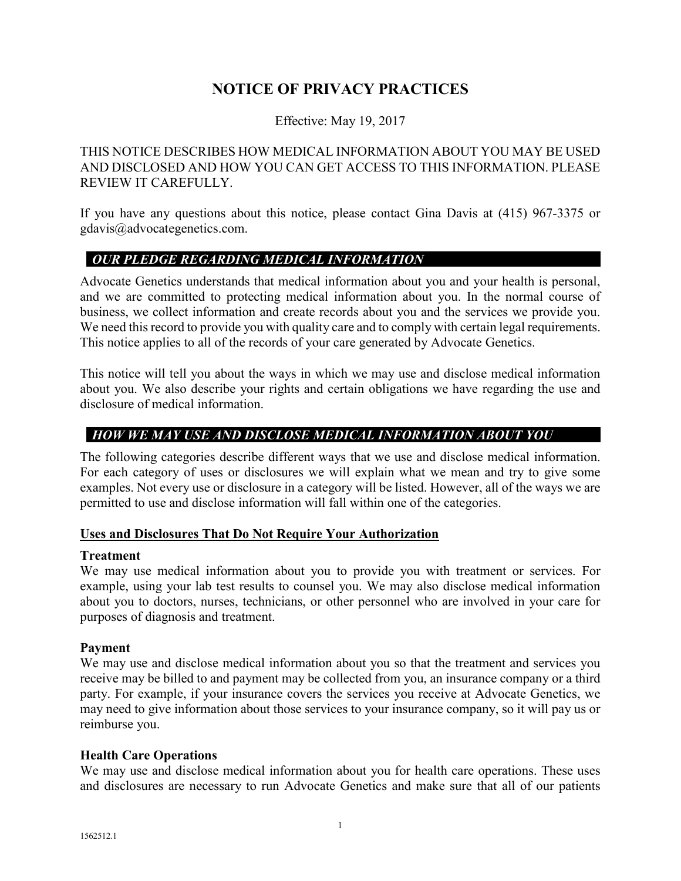# **NOTICE OF PRIVACY PRACTICES**

Effective: May 19, 2017

THIS NOTICE DESCRIBES HOW MEDICAL INFORMATION ABOUT YOU MAY BE USED AND DISCLOSED AND HOW YOU CAN GET ACCESS TO THIS INFORMATION. PLEASE REVIEW IT CAREFULLY.

If you have any questions about this notice, please contact Gina Davis at (415) 967-3375 or gdavis@advocategenetics.com.

# *OUR PLEDGE REGARDING MEDICAL INFORMATION*

Advocate Genetics understands that medical information about you and your health is personal, and we are committed to protecting medical information about you. In the normal course of business, we collect information and create records about you and the services we provide you. We need this record to provide you with quality care and to comply with certain legal requirements. This notice applies to all of the records of your care generated by Advocate Genetics.

This notice will tell you about the ways in which we may use and disclose medical information about you. We also describe your rights and certain obligations we have regarding the use and disclosure of medical information.

# *HOW WE MAY USE AND DISCLOSE MEDICAL INFORMATION ABOUT YOU*

The following categories describe different ways that we use and disclose medical information. For each category of uses or disclosures we will explain what we mean and try to give some examples. Not every use or disclosure in a category will be listed. However, all of the ways we are permitted to use and disclose information will fall within one of the categories.

# **Uses and Disclosures That Do Not Require Your Authorization**

#### **Treatment**

We may use medical information about you to provide you with treatment or services. For example, using your lab test results to counsel you. We may also disclose medical information about you to doctors, nurses, technicians, or other personnel who are involved in your care for purposes of diagnosis and treatment.

#### **Payment**

We may use and disclose medical information about you so that the treatment and services you receive may be billed to and payment may be collected from you, an insurance company or a third party. For example, if your insurance covers the services you receive at Advocate Genetics, we may need to give information about those services to your insurance company, so it will pay us or reimburse you.

# **Health Care Operations**

We may use and disclose medical information about you for health care operations. These uses and disclosures are necessary to run Advocate Genetics and make sure that all of our patients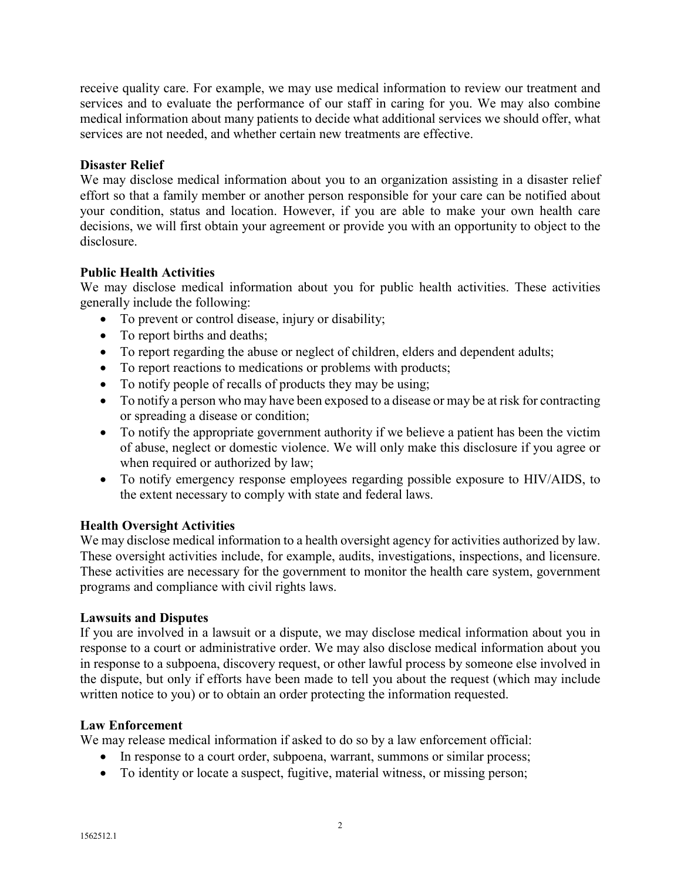receive quality care. For example, we may use medical information to review our treatment and services and to evaluate the performance of our staff in caring for you. We may also combine medical information about many patients to decide what additional services we should offer, what services are not needed, and whether certain new treatments are effective.

## **Disaster Relief**

We may disclose medical information about you to an organization assisting in a disaster relief effort so that a family member or another person responsible for your care can be notified about your condition, status and location. However, if you are able to make your own health care decisions, we will first obtain your agreement or provide you with an opportunity to object to the disclosure.

## **Public Health Activities**

We may disclose medical information about you for public health activities. These activities generally include the following:

- To prevent or control disease, injury or disability;
- To report births and deaths;
- To report regarding the abuse or neglect of children, elders and dependent adults;
- To report reactions to medications or problems with products;
- To notify people of recalls of products they may be using;
- To notify a person who may have been exposed to a disease or may be at risk for contracting or spreading a disease or condition;
- To notify the appropriate government authority if we believe a patient has been the victim of abuse, neglect or domestic violence. We will only make this disclosure if you agree or when required or authorized by law;
- To notify emergency response employees regarding possible exposure to HIV/AIDS, to the extent necessary to comply with state and federal laws.

# **Health Oversight Activities**

We may disclose medical information to a health oversight agency for activities authorized by law. These oversight activities include, for example, audits, investigations, inspections, and licensure. These activities are necessary for the government to monitor the health care system, government programs and compliance with civil rights laws.

#### **Lawsuits and Disputes**

If you are involved in a lawsuit or a dispute, we may disclose medical information about you in response to a court or administrative order. We may also disclose medical information about you in response to a subpoena, discovery request, or other lawful process by someone else involved in the dispute, but only if efforts have been made to tell you about the request (which may include written notice to you) or to obtain an order protecting the information requested.

#### **Law Enforcement**

We may release medical information if asked to do so by a law enforcement official:

- In response to a court order, subpoena, warrant, summons or similar process;
- To identity or locate a suspect, fugitive, material witness, or missing person;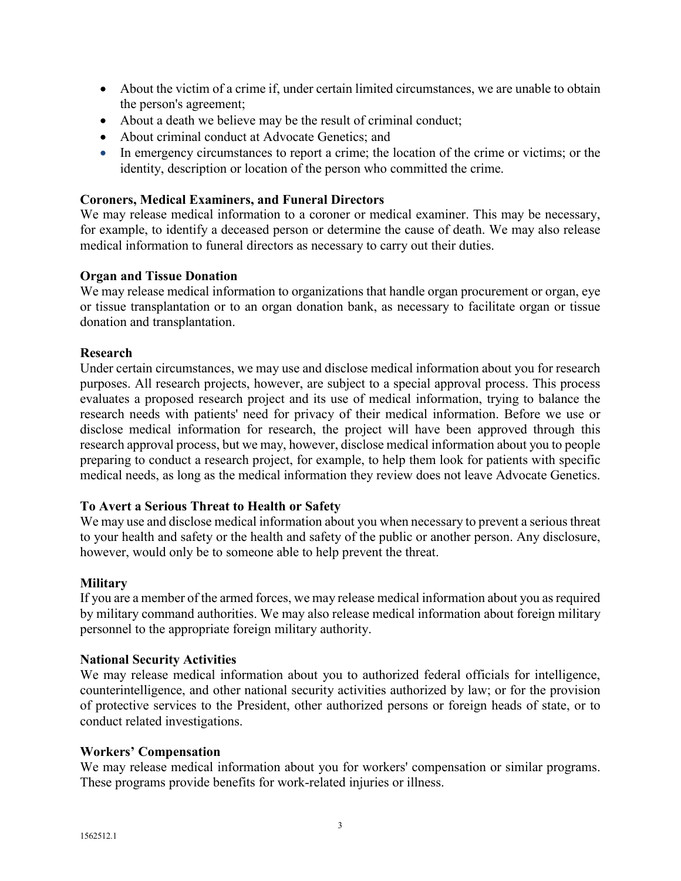- About the victim of a crime if, under certain limited circumstances, we are unable to obtain the person's agreement;
- About a death we believe may be the result of criminal conduct;
- About criminal conduct at Advocate Genetics; and
- In emergency circumstances to report a crime; the location of the crime or victims; or the identity, description or location of the person who committed the crime.

#### **Coroners, Medical Examiners, and Funeral Directors**

We may release medical information to a coroner or medical examiner. This may be necessary, for example, to identify a deceased person or determine the cause of death. We may also release medical information to funeral directors as necessary to carry out their duties.

#### **Organ and Tissue Donation**

We may release medical information to organizations that handle organ procurement or organ, eye or tissue transplantation or to an organ donation bank, as necessary to facilitate organ or tissue donation and transplantation.

#### **Research**

Under certain circumstances, we may use and disclose medical information about you for research purposes. All research projects, however, are subject to a special approval process. This process evaluates a proposed research project and its use of medical information, trying to balance the research needs with patients' need for privacy of their medical information. Before we use or disclose medical information for research, the project will have been approved through this research approval process, but we may, however, disclose medical information about you to people preparing to conduct a research project, for example, to help them look for patients with specific medical needs, as long as the medical information they review does not leave Advocate Genetics.

#### **To Avert a Serious Threat to Health or Safety**

We may use and disclose medical information about you when necessary to prevent a serious threat to your health and safety or the health and safety of the public or another person. Any disclosure, however, would only be to someone able to help prevent the threat.

#### **Military**

If you are a member of the armed forces, we may release medical information about you as required by military command authorities. We may also release medical information about foreign military personnel to the appropriate foreign military authority.

#### **National Security Activities**

We may release medical information about you to authorized federal officials for intelligence, counterintelligence, and other national security activities authorized by law; or for the provision of protective services to the President, other authorized persons or foreign heads of state, or to conduct related investigations.

#### **Workers' Compensation**

We may release medical information about you for workers' compensation or similar programs. These programs provide benefits for work-related injuries or illness.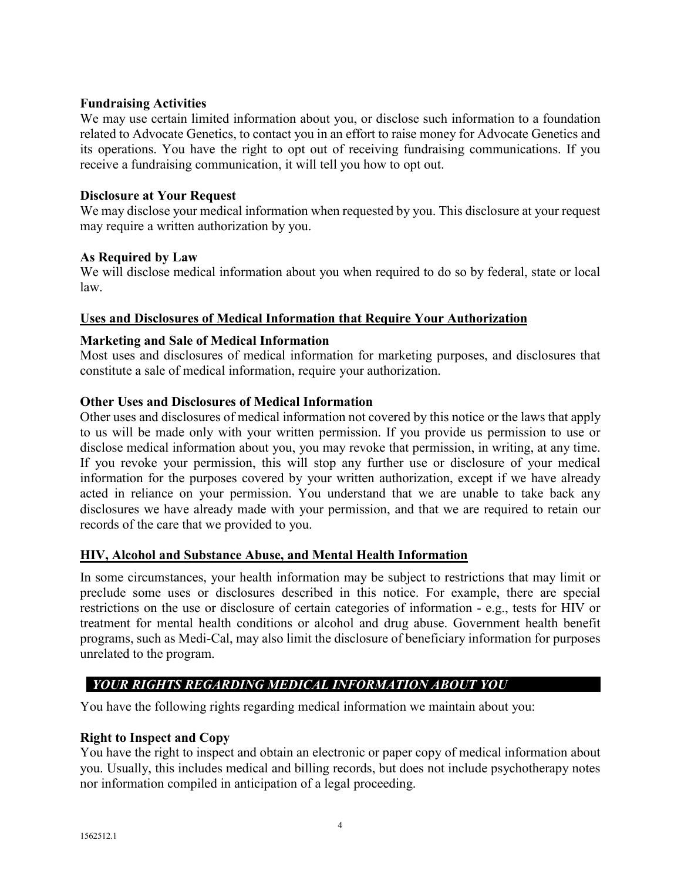#### **Fundraising Activities**

We may use certain limited information about you, or disclose such information to a foundation related to Advocate Genetics, to contact you in an effort to raise money for Advocate Genetics and its operations. You have the right to opt out of receiving fundraising communications. If you receive a fundraising communication, it will tell you how to opt out.

## **Disclosure at Your Request**

We may disclose your medical information when requested by you. This disclosure at your request may require a written authorization by you.

## **As Required by Law**

We will disclose medical information about you when required to do so by federal, state or local law.

## **Uses and Disclosures of Medical Information that Require Your Authorization**

## **Marketing and Sale of Medical Information**

Most uses and disclosures of medical information for marketing purposes, and disclosures that constitute a sale of medical information, require your authorization.

## **Other Uses and Disclosures of Medical Information**

Other uses and disclosures of medical information not covered by this notice or the laws that apply to us will be made only with your written permission. If you provide us permission to use or disclose medical information about you, you may revoke that permission, in writing, at any time. If you revoke your permission, this will stop any further use or disclosure of your medical information for the purposes covered by your written authorization, except if we have already acted in reliance on your permission. You understand that we are unable to take back any disclosures we have already made with your permission, and that we are required to retain our records of the care that we provided to you.

# **HIV, Alcohol and Substance Abuse, and Mental Health Information**

In some circumstances, your health information may be subject to restrictions that may limit or preclude some uses or disclosures described in this notice. For example, there are special restrictions on the use or disclosure of certain categories of information - e.g., tests for HIV or treatment for mental health conditions or alcohol and drug abuse. Government health benefit programs, such as Medi-Cal, may also limit the disclosure of beneficiary information for purposes unrelated to the program.

# *YOUR RIGHTS REGARDING MEDICAL INFORMATION ABOUT YOU*

You have the following rights regarding medical information we maintain about you:

#### **Right to Inspect and Copy**

You have the right to inspect and obtain an electronic or paper copy of medical information about you. Usually, this includes medical and billing records, but does not include psychotherapy notes nor information compiled in anticipation of a legal proceeding.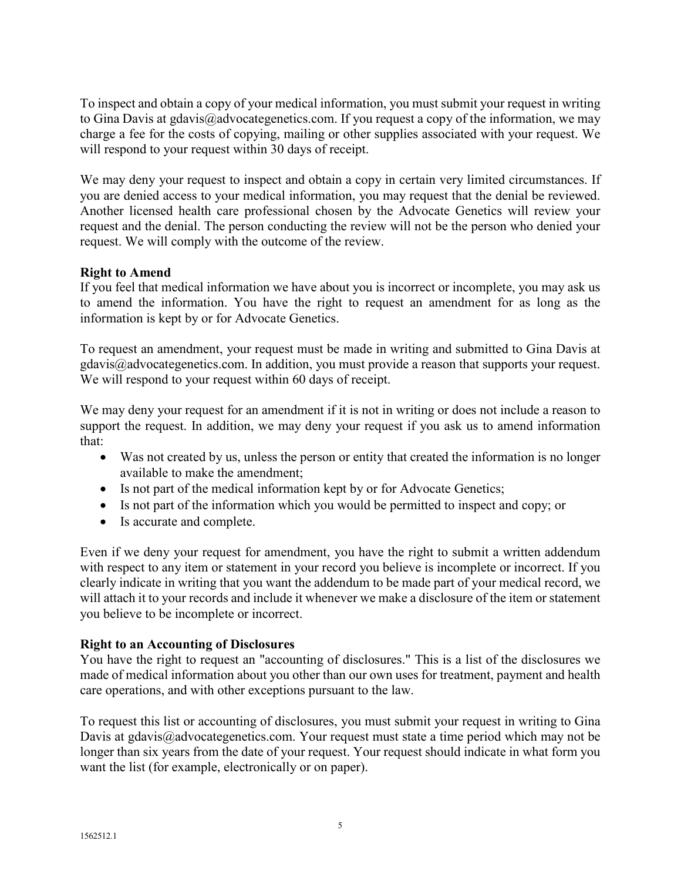To inspect and obtain a copy of your medical information, you must submit your request in writing to Gina Davis at gdavis@advocategenetics.com. If you request a copy of the information, we may charge a fee for the costs of copying, mailing or other supplies associated with your request. We will respond to your request within 30 days of receipt.

We may deny your request to inspect and obtain a copy in certain very limited circumstances. If you are denied access to your medical information, you may request that the denial be reviewed. Another licensed health care professional chosen by the Advocate Genetics will review your request and the denial. The person conducting the review will not be the person who denied your request. We will comply with the outcome of the review.

# **Right to Amend**

If you feel that medical information we have about you is incorrect or incomplete, you may ask us to amend the information. You have the right to request an amendment for as long as the information is kept by or for Advocate Genetics.

To request an amendment, your request must be made in writing and submitted to Gina Davis at  $gdavis@advocategorities.com.$  In addition, you must provide a reason that supports your request. We will respond to your request within 60 days of receipt.

We may deny your request for an amendment if it is not in writing or does not include a reason to support the request. In addition, we may deny your request if you ask us to amend information that:

- Was not created by us, unless the person or entity that created the information is no longer available to make the amendment;
- Is not part of the medical information kept by or for Advocate Genetics;
- Is not part of the information which you would be permitted to inspect and copy; or
- Is accurate and complete.

Even if we deny your request for amendment, you have the right to submit a written addendum with respect to any item or statement in your record you believe is incomplete or incorrect. If you clearly indicate in writing that you want the addendum to be made part of your medical record, we will attach it to your records and include it whenever we make a disclosure of the item or statement you believe to be incomplete or incorrect.

# **Right to an Accounting of Disclosures**

You have the right to request an "accounting of disclosures." This is a list of the disclosures we made of medical information about you other than our own uses for treatment, payment and health care operations, and with other exceptions pursuant to the law.

To request this list or accounting of disclosures, you must submit your request in writing to Gina Davis at gdavis@advocategenetics.com. Your request must state a time period which may not be longer than six years from the date of your request. Your request should indicate in what form you want the list (for example, electronically or on paper).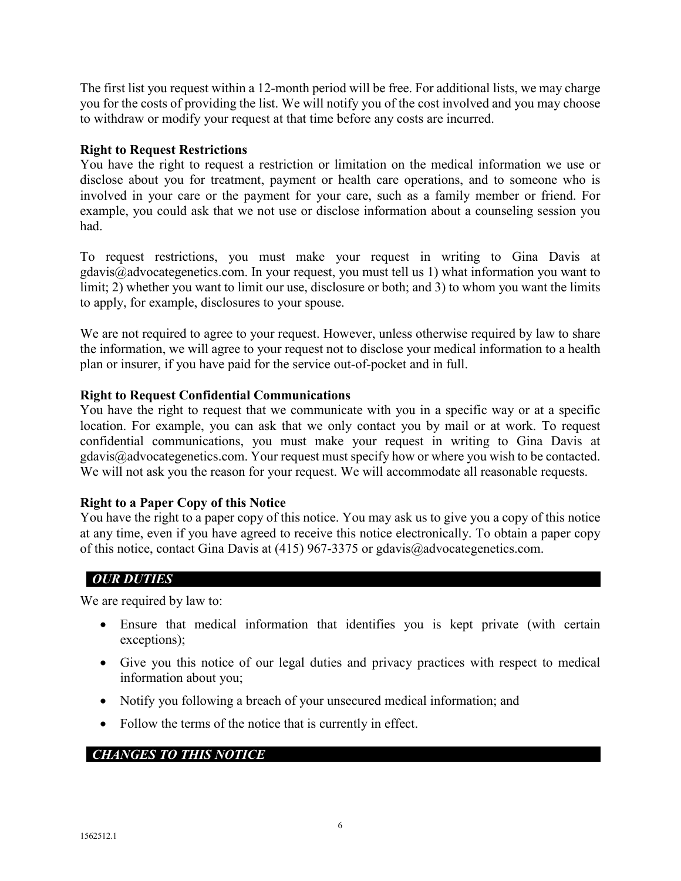The first list you request within a 12-month period will be free. For additional lists, we may charge you for the costs of providing the list. We will notify you of the cost involved and you may choose to withdraw or modify your request at that time before any costs are incurred.

## **Right to Request Restrictions**

You have the right to request a restriction or limitation on the medical information we use or disclose about you for treatment, payment or health care operations, and to someone who is involved in your care or the payment for your care, such as a family member or friend. For example, you could ask that we not use or disclose information about a counseling session you had.

To request restrictions, you must make your request in writing to Gina Davis at  $gdavis@advocategorities.com.$  In your request, you must tell us 1) what information you want to limit; 2) whether you want to limit our use, disclosure or both; and 3) to whom you want the limits to apply, for example, disclosures to your spouse.

We are not required to agree to your request. However, unless otherwise required by law to share the information, we will agree to your request not to disclose your medical information to a health plan or insurer, if you have paid for the service out-of-pocket and in full.

## **Right to Request Confidential Communications**

You have the right to request that we communicate with you in a specific way or at a specific location. For example, you can ask that we only contact you by mail or at work. To request confidential communications, you must make your request in writing to Gina Davis at  $gdavis@advocategorities.com. Your request must specify how or where you wish to be contacted.$ We will not ask you the reason for your request. We will accommodate all reasonable requests.

#### **Right to a Paper Copy of this Notice**

You have the right to a paper copy of this notice. You may ask us to give you a copy of this notice at any time, even if you have agreed to receive this notice electronically. To obtain a paper copy of this notice, contact Gina Davis at (415) 967-3375 or gdavis@advocategenetics.com.

#### *OUR DUTIES*

We are required by law to:

- Ensure that medical information that identifies you is kept private (with certain exceptions);
- Give you this notice of our legal duties and privacy practices with respect to medical information about you;
- Notify you following a breach of your unsecured medical information; and
- Follow the terms of the notice that is currently in effect.

# *CHANGES TO THIS NOTICE*